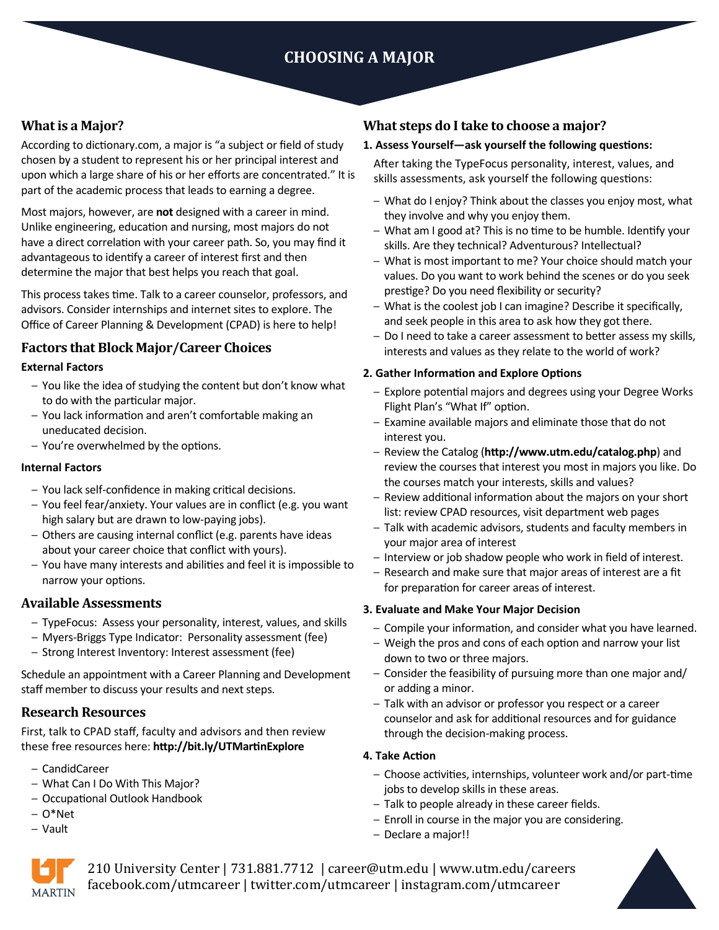# **CHOOSING A MAJOR**

## **What is a Major?**

According to dictionary.com, a major is "a subject or field of study chosen by a student to represent his or her principal interest and upon which a large share of his or her efforts are concentrated." It is part of the academic process that leads to earning a degree.

Most majors, however, are **not** designed with a career in mind. Unlike engineering, education and nursing, most majors do not have a direct correlation with your career path. So, you may find it advantageous to identify a career of interest first and then determine the major that best helps you reach that goal.

This process takes time. Talk to a career counselor, professors, and advisors. Consider internships and internet sites to explore. The Office of Career Planning & Development (CPAD) is here to help!

## **Factors that Block Major/Career Choices**

#### **External Factors**

- You like the idea of studying the content but don't know what to do with the particular major.
- You lack information and aren't comfortable making an uneducated decision.
- You're overwhelmed by the options.

### **Internal Factors**

- You lack self-confidence in making critical decisions.
- You feel fear/anxiety. Your values are in conflict (e.g. you want high salary but are drawn to low-paying jobs).
- Others are causing internal conflict (e.g. parents have ideas about your career choice that conflict with yours).
- You have many interests and abilities and feel it is impossible to narrow your options.

## **Available Assessments**

- TypeFocus: Assess your personality, interest, values, and skills
- Myers-Briggs Type Indicator: Personality assessment (fee)
- Strong Interest Inventory: Interest assessment (fee)

Schedule an appointment with a Career Planning and Development staff member to discuss your results and next steps.

## **Research Resources**

First, talk to CPAD staff, faculty and advisors and then review these free resources here: **http://bit.ly/UTMartinExplore**

- CandidCareer
- What Can I Do With This Major?
- Occupational Outlook Handbook
- O\*Net
- Vault

## **What steps do I take to choose a major?**

#### **1. Assess Yourself—ask yourself the following questions:**

After taking the TypeFocus personality, interest, values, and skills assessments, ask yourself the following questions:

- What do I enjoy? Think about the classes you enjoy most, what they involve and why you enjoy them.
- What am I good at? This is no time to be humble. Identify your skills. Are they technical? Adventurous? Intellectual?
- What is most important to me? Your choice should match your values. Do you want to work behind the scenes or do you seek prestige? Do you need flexibility or security?
- What is the coolest job I can imagine? Describe it specifically, and seek people in this area to ask how they got there.
- Do I need to take a career assessment to better assess my skills, interests and values as they relate to the world of work?

#### **2. Gather Information and Explore Options**

- Explore potential majors and degrees using your Degree Works Flight Plan's "What If" option.
- *–* Examine available majors and eliminate those that do not interest you.
- *–* Review the Catalog (**http://www.utm.edu/catalog.php**) and review the courses that interest you most in majors you like. Do the courses match your interests, skills and values?
- Review additional information about the majors on your short list: review CPAD resources, visit department web pages
- Talk with academic advisors, students and faculty members in your major area of interest
- Interview or job shadow people who work in field of interest.
- Research and make sure that major areas of interest are a fit for preparation for career areas of interest.

#### **3. Evaluate and Make Your Major Decision**

- Compile your information, and consider what you have learned.
- Weigh the pros and cons of each option and narrow your list down to two or three majors.
- Consider the feasibility of pursuing more than one major and/ or adding a minor.
- Talk with an advisor or professor you respect or a career counselor and ask for additional resources and for guidance through the decision-making process.

#### **4. Take Action**

- Choose activities, internships, volunteer work and/or part-time jobs to develop skills in these areas.
- Talk to people already in these career fields.
- Enroll in course in the major you are considering.
- Declare a major!!